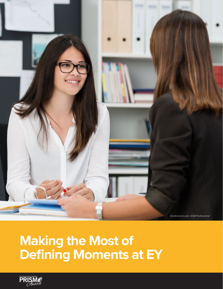

# **Making the Most of Defining Moments at EY**

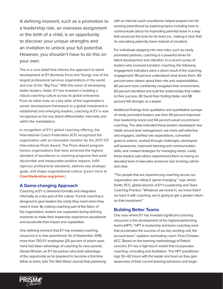A defining moment, such as a promotion to a leadership role, an overseas assignment or the birth of a child, is an opportunity to discover your unique strengths and an invitation to unlock your full potential. However, you shouldn't have to do this on your own.

This is a core belief that informs the approach to talent development at EY (formerly Ernst and Young), one of the largest professional services organizations in the world and one of the "Big Four." With the vision of developing better leaders, faster, EY has invested in building a robust coaching culture across its global enterprise. From its initial roots as a key pillar of the organization's career development framework to a global investment in established and emerging leaders, coaching at EY is now recognized as the key talent differentiator internally and within the marketplace.

In recognition of EY's global coaching offering, the International Coach Federation (ICF) recognized the organization with an honorable mention for the 2017 ICF International Prism Award. The Prism Award program honors organizations that have achieved the highest standard of excellence in coaching programs that yield discernible and measurable positive impacts, fulfill rigorous professional standards, address key strategic goals, and shape organizational culture. (Learn more at **[Coachfederation.org/prism](http://Coachfederation.org/prism)**.)

## **A Game-changing Approach**

Coaching at EY is delivered formally and integrated informally as a key part of the culture. Formal coaching is designed to give leaders the clarity they need when they need it most. By making coaching part of the fabric of the organization, leaders are supported during defining moments to make their leadership experience exceptional and accelerate their impact and capabilities.

One defining moment that EY has invested coaching resources in is new parenthood. As of September 2016, more than 700 EY employees (25 percent of whom were men) had taken advantage of coaching for new parents. Gerald Whelan, an EY tax partner who took advantage of the opportunity as he prepared to become a first-time father to twins, told *The Wall Street Journal* that partnering with an internal coach practitioner helped prepare him for working parenthood by exploring topics including how to communicate about his impending parental leave in a way that would set the tone for his team (i.e., making it clear that he was taking paternity leave instead of vacation).

For individuals stepping into new roles, such as newly promoted partners, coaching is a powerful driver for talent development and retention. In a recent survey of leaders who received transition coaching, the following engagement indicators were a direct result of the coaching engagement: 96 percent understood what drives them, 89 percent were clearer about their role and responsibilities, 80 percent more confidently navigated their environment, 83 percent identified and built the relationships that matter to their success, 80 found their footing faster, and 88 percent felt stronger as a leader.

Additional findings from qualitative and quantitative surveys of newly promoted leaders saw than 89 percent improved their leadership brand and 94 percent would recommend coaching. The data indicated these leaders developed new habits around time management, are more self-reflective and engaged, clarified role expectations, converted goals to actions, worked through challenges, developed self-awareness, improved listening and communication skills, and created strategies for managing stress. Lastly, these leaders said others experienced them as having an elevated level of executive presence due to being calmer and clear.

"The people that are experiencing coaching across our organization are calling it 'game-changing,'" says Janice Smith, PCC, global director of EY's Leadership and Team Coaching Practice. "Whatever we invest in, we know that if we back it with coaching, we're going to get a greater return on that investment."

#### **Building Better Teams**

One area where EY has invested significant coaching resources is the development of the highest-performing teams (HPT). "HPT is leadership and team coaching work that accelerates the success of our key working unit, the account team," explains nominating coach Tricia Christian, ACC. Based on the teaming methodology of Patrick Lencioni, EY has a high-touch model that incorporates coaching, consulting and facilitation. The HPT practitioner logs 50–60 hours with the leader and team as they gain awareness of their current teaming behaviors and begin